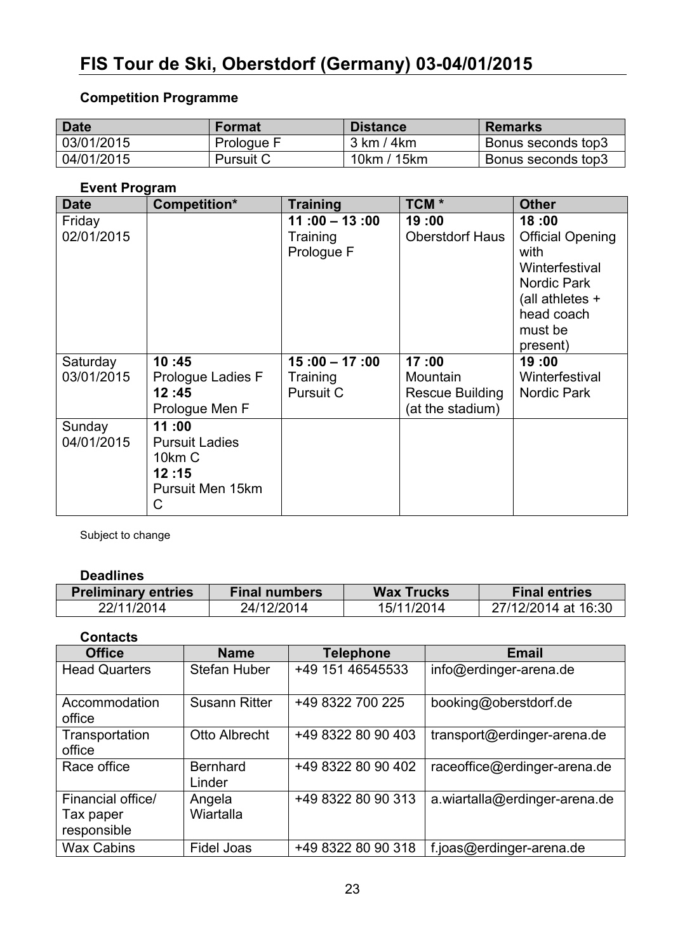# **FIS Tour de Ski, Oberstdorf (Germany) 03-04/01/2015**

# **Competition Programme**

| <b>Date</b> | <b>Format</b>    | <b>Distance</b> | <b>Remarks</b>     |
|-------------|------------------|-----------------|--------------------|
| 03/01/2015  | Prologue F       | 3 km / 4 km     | Bonus seconds top3 |
| 04/01/2015  | <b>Pursuit C</b> | 10km / 15km     | Bonus seconds top3 |

#### **Event Program**

| <b>Date</b>            | Competition*                                                               | <b>Training</b>                           | TCM *                                                    | <b>Other</b>                                                                                                                        |
|------------------------|----------------------------------------------------------------------------|-------------------------------------------|----------------------------------------------------------|-------------------------------------------------------------------------------------------------------------------------------------|
| Friday<br>02/01/2015   |                                                                            | $11:00 - 13:00$<br>Training<br>Prologue F | 19:00<br><b>Oberstdorf Haus</b>                          | 18:00<br><b>Official Opening</b><br>with<br>Winterfestival<br>Nordic Park<br>(all athletes $+$<br>head coach<br>must be<br>present) |
| Saturday<br>03/01/2015 | 10:45<br>Prologue Ladies F<br>12:45<br>Prologue Men F                      | $15:00 - 17:00$<br>Training<br>Pursuit C  | 17:00<br>Mountain<br>Rescue Building<br>(at the stadium) | 19:00<br>Winterfestival<br>Nordic Park                                                                                              |
| Sunday<br>04/01/2015   | 11:00<br><b>Pursuit Ladies</b><br>10km C<br>12:15<br>Pursuit Men 15km<br>С |                                           |                                                          |                                                                                                                                     |

Subject to change

#### **Deadlines**

| <b>Preliminary entries</b> | <b>Final numbers</b> | <b>Wax Trucks</b> | <b>Final entries</b> |
|----------------------------|----------------------|-------------------|----------------------|
| 22/11/2014                 | 24/12/2014           | 15/11/2014        | 27/12/2014 at 16:30  |

**Contacts**

| <b>Office</b>                                 | <b>Name</b>               | <b>Telephone</b>   | <b>Email</b>                  |
|-----------------------------------------------|---------------------------|--------------------|-------------------------------|
| <b>Head Quarters</b>                          | Stefan Huber              | +49 151 46545533   | info@erdinger-arena.de        |
| Accommodation<br>office                       | <b>Susann Ritter</b>      | +49 8322 700 225   | booking@oberstdorf.de         |
| Transportation<br>office                      | Otto Albrecht             | +49 8322 80 90 403 | transport@erdinger-arena.de   |
| Race office                                   | <b>Bernhard</b><br>Linder | +49 8322 80 90 402 | raceoffice@erdinger-arena.de  |
| Financial office/<br>Tax paper<br>responsible | Angela<br>Wiartalla       | +49 8322 80 90 313 | a.wiartalla@erdinger-arena.de |
| <b>Wax Cabins</b>                             | Fidel Joas                | +49 8322 80 90 318 | f.joas@erdinger-arena.de      |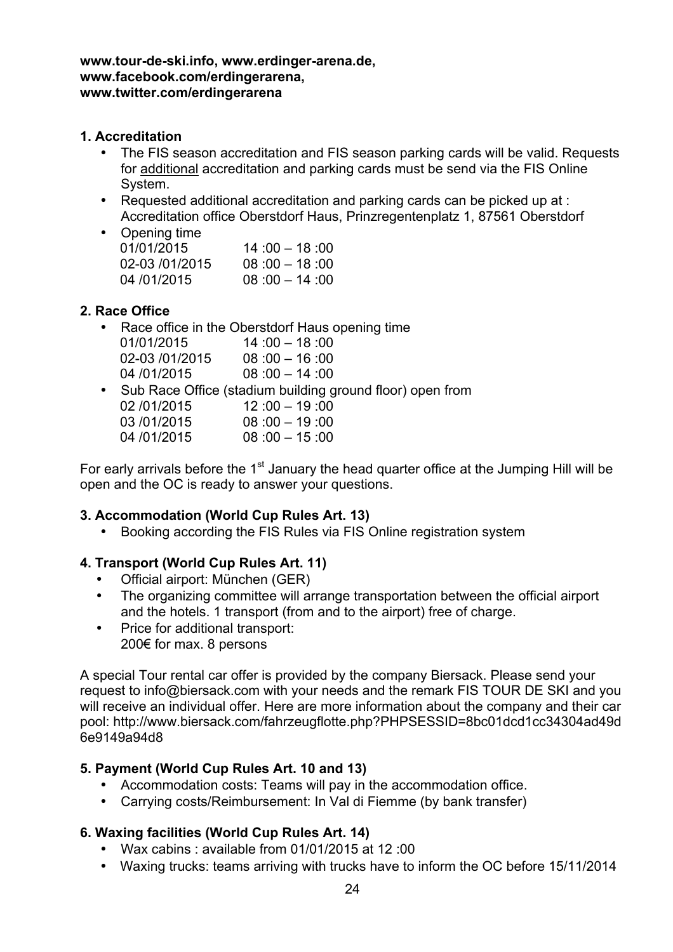**www.tour-de-ski.info, www.erdinger-arena.de, www.facebook.com/erdingerarena, www.twitter.com/erdingerarena**

### **1. Accreditation**

- The FIS season accreditation and FIS season parking cards will be valid. Requests for additional accreditation and parking cards must be send via the FIS Online System.
- Requested additional accreditation and parking cards can be picked up at : Accreditation office Oberstdorf Haus, Prinzregentenplatz 1, 87561 Oberstdorf

| • Opening time |                 |
|----------------|-----------------|
| 01/01/2015     | $14:00 - 18:00$ |
| 02-03 /01/2015 | $08:00 - 18:00$ |
| 04/01/2015     | $08:00 - 14:00$ |
|                |                 |

## **2. Race Office**

• Race office in the Oberstdorf Haus opening time 01/01/2015 14 :00 – 18 :00 02-03 /01/2015 08:00 - 16:00 04 /01/2015 08 :00 – 14 :00 • Sub Race Office (stadium building ground floor) open from 02 /01/2015 12 :00 – 19 :00

| <u>94 19 1149 19</u> |                 |
|----------------------|-----------------|
| 03/01/2015           | $08:00 - 19:00$ |
| 04/01/2015           | $08:00 - 15:00$ |

For early arrivals before the  $1<sup>st</sup>$  January the head quarter office at the Jumping Hill will be open and the OC is ready to answer your questions.

## **3. Accommodation (World Cup Rules Art. 13)**

• Booking according the FIS Rules via FIS Online registration system

# **4. Transport (World Cup Rules Art. 11)**

- Official airport: München (GER)
- The organizing committee will arrange transportation between the official airport and the hotels. 1 transport (from and to the airport) free of charge.
- Price for additional transport: 200€ for max. 8 persons

A special Tour rental car offer is provided by the company Biersack. Please send your request to info@biersack.com with your needs and the remark FIS TOUR DE SKI and you will receive an individual offer. Here are more information about the company and their car pool: http://www.biersack.com/fahrzeugflotte.php?PHPSESSID=8bc01dcd1cc34304ad49d 6e9149a94d8

## **5. Payment (World Cup Rules Art. 10 and 13)**

- Accommodation costs: Teams will pay in the accommodation office.
- Carrying costs/Reimbursement: In Val di Fiemme (by bank transfer)

# **6. Waxing facilities (World Cup Rules Art. 14)**

- Wax cabins : available from 01/01/2015 at 12 :00
- Waxing trucks: teams arriving with trucks have to inform the OC before 15/11/2014